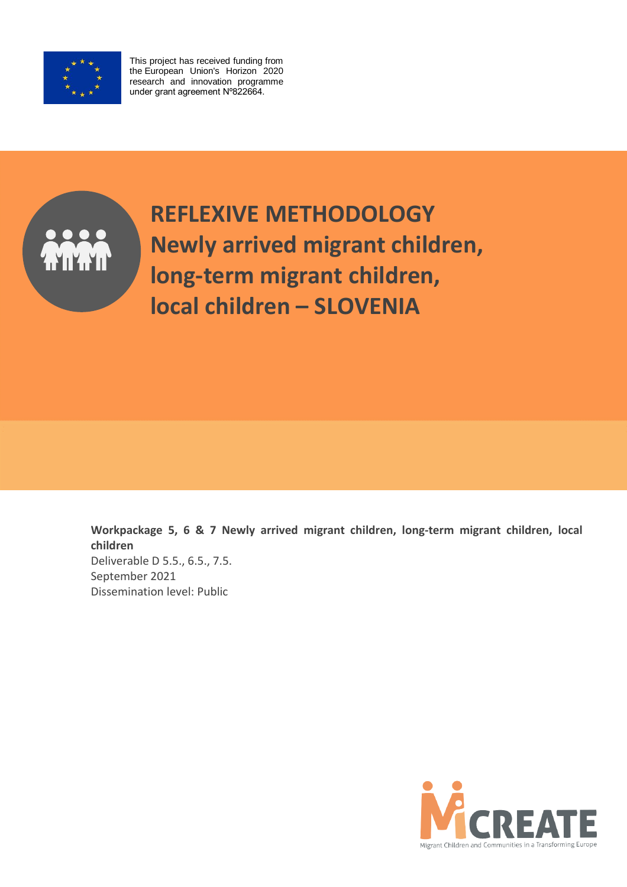

This project has received funding from the European Union's Horizon 2020 research and innovation programme under grant agreement Nº822664.



**REFLEXIVE METHODOLOGY Newly arrived migrant children, long-term migrant children, local children – SLOVENIA**

**Workpackage 5, 6 & 7 Newly arrived migrant children, long-term migrant children, local children**  Deliverable D 5.5., 6.5., 7.5. September 2021 Dissemination level: Public

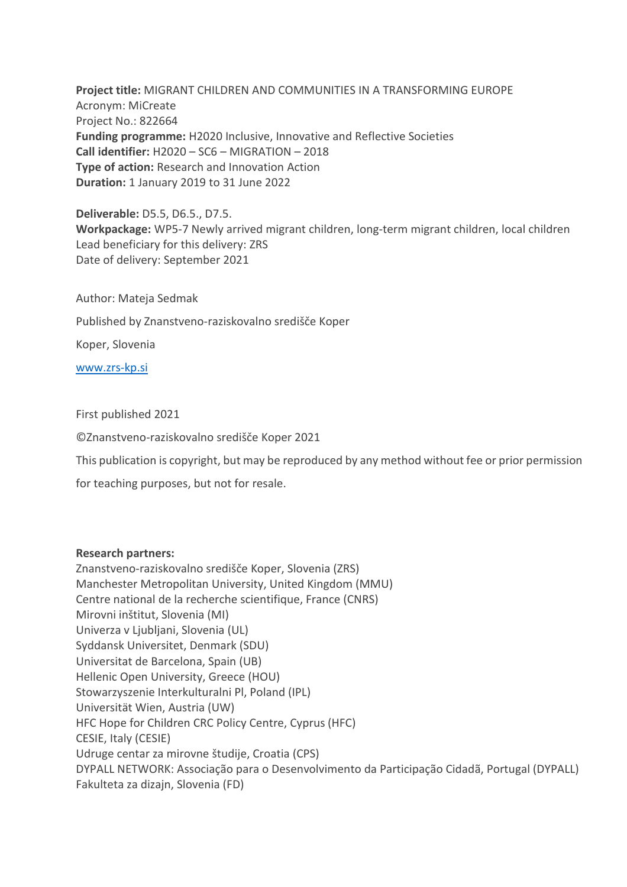**Project title:** MIGRANT CHILDREN AND COMMUNITIES IN A TRANSFORMING EUROPE Acronym: MiCreate Project No.: 822664 **Funding programme:** H2020 Inclusive, Innovative and Reflective Societies **Call identifier:** H2020 – SC6 – MIGRATION – 2018 **Type of action:** Research and Innovation Action **Duration:** 1 January 2019 to 31 June 2022

**Deliverable:** D5.5, D6.5., D7.5. **Workpackage:** WP5-7 Newly arrived migrant children, long-term migrant children, local children Lead beneficiary for this delivery: ZRS Date of delivery: September 2021

Author: Mateja Sedmak

Published by Znanstveno-raziskovalno središče Koper

Koper, Slovenia

[www.zrs-kp.si](http://www.zrs-kp.si/)

First published 2021

©Znanstveno-raziskovalno središče Koper 2021

This publication is copyright, but may be reproduced by any method without fee or prior permission

for teaching purposes, but not for resale.

# **Research partners:**

Znanstveno-raziskovalno središče Koper, Slovenia (ZRS) Manchester Metropolitan University, United Kingdom (MMU) Centre national de la recherche scientifique, France (CNRS) Mirovni inštitut, Slovenia (MI) Univerza v Ljubljani, Slovenia (UL) Syddansk Universitet, Denmark (SDU) Universitat de Barcelona, Spain (UB) Hellenic Open University, Greece (HOU) Stowarzyszenie Interkulturalni Pl, Poland (IPL) Universität Wien, Austria (UW) HFC Hope for Children CRC Policy Centre, Cyprus (HFC) CESIE, Italy (CESIE) Udruge centar za mirovne študije, Croatia (CPS) DYPALL NETWORK: Associação para o Desenvolvimento da Participação Cidadã, Portugal (DYPALL) Fakulteta za dizajn, Slovenia (FD)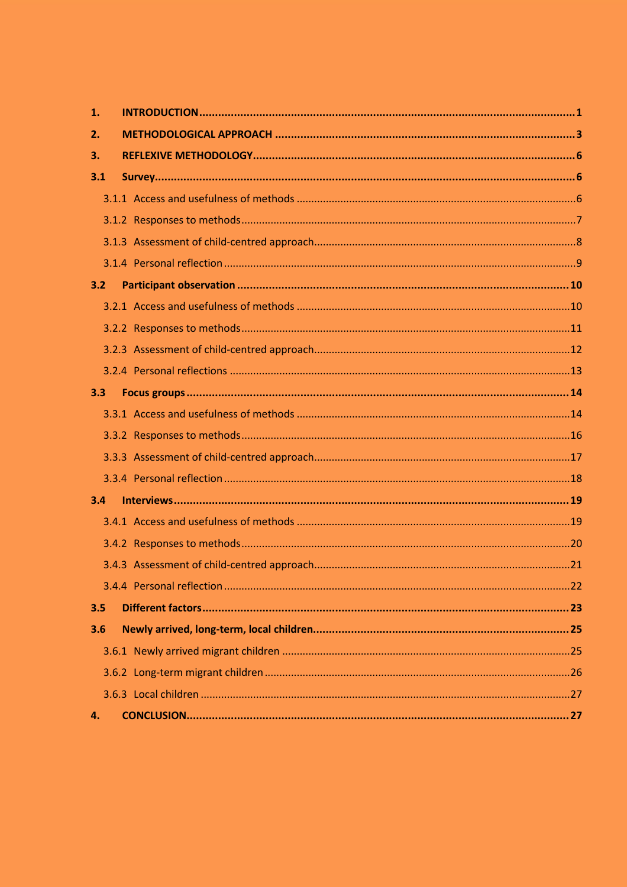| 1.  |  |
|-----|--|
| 2.  |  |
| 3.  |  |
| 3.1 |  |
|     |  |
|     |  |
|     |  |
|     |  |
| 3.2 |  |
|     |  |
|     |  |
|     |  |
|     |  |
| 3.3 |  |
|     |  |
|     |  |
|     |  |
|     |  |
| 3.4 |  |
|     |  |
|     |  |
|     |  |
|     |  |
| 3.5 |  |
| 3.6 |  |
|     |  |
|     |  |
|     |  |
| 4.  |  |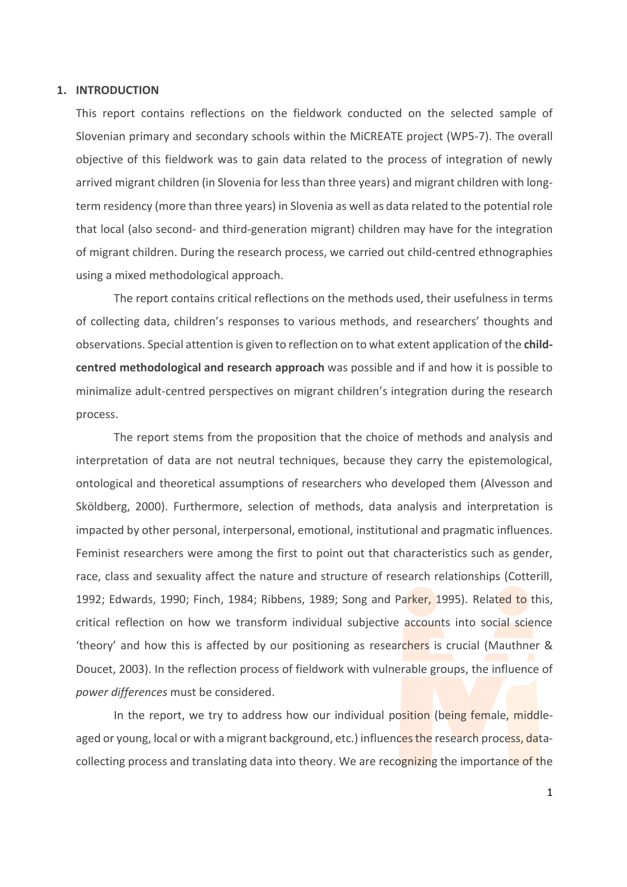## <span id="page-3-0"></span>**1. INTRODUCTION**

This report contains reflections on the fieldwork conducted on the selected sample of Slovenian primary and secondary schools within the MiCREATE project (WP5-7). The overall objective of this fieldwork was to gain data related to the process of integration of newly arrived migrant children (in Slovenia for less than three years) and migrant children with longterm residency (more than three years) in Slovenia as well as data related to the potential role that local (also second- and third-generation migrant) children may have for the integration of migrant children. During the research process, we carried out child-centred ethnographies using a mixed methodological approach.

The report contains critical reflections on the methods used, their usefulness in terms of collecting data, children's responses to various methods, and researchers' thoughts and observations. Special attention is given to reflection on to what extent application of the **childcentred methodological and research approach** was possible and if and how it is possible to minimalize adult-centred perspectives on migrant children's integration during the research process.

The report stems from the proposition that the choice of methods and analysis and interpretation of data are not neutral techniques, because they carry the epistemological, ontological and theoretical assumptions of researchers who developed them (Alvesson and Sköldberg, 2000). Furthermore, selection of methods, data analysis and interpretation is impacted by other personal, interpersonal, emotional, institutional and pragmatic influences. Feminist researchers were among the first to point out that characteristics such as gender, race, class and sexuality affect the nature and structure of research relationships (Cotterill, 1992; Edwards, 1990; Finch, 1984; Ribbens, 1989; Song and Parker, 1995). Related to this, critical reflection on how we transform individual subjective accounts into social science 'theory' and how this is affected by our positioning as researchers is crucial (Mauthner & Doucet, 2003). In the reflection process of fieldwork with vulnerable groups, the influence of *power differences* must be considered.

In the report, we try to address how our individual position (being female, middleaged or young, local or with a migrant background, etc.) influences the research process, datacollecting process and translating data into theory. We are recognizing the importance of the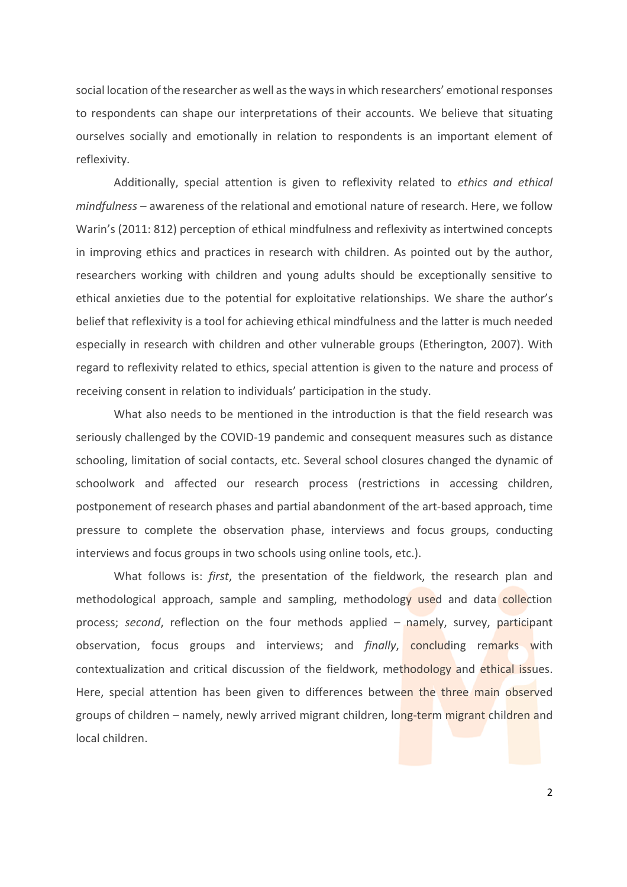social location of the researcher as well as the ways in which researchers' emotional responses to respondents can shape our interpretations of their accounts. We believe that situating ourselves socially and emotionally in relation to respondents is an important element of reflexivity.

Additionally, special attention is given to reflexivity related to *ethics and ethical mindfulness* – awareness of the relational and emotional nature of research. Here, we follow Warin's (2011: 812) perception of ethical mindfulness and reflexivity as intertwined concepts in improving ethics and practices in research with children. As pointed out by the author, researchers working with children and young adults should be exceptionally sensitive to ethical anxieties due to the potential for exploitative relationships. We share the author's belief that reflexivity is a tool for achieving ethical mindfulness and the latter is much needed especially in research with children and other vulnerable groups (Etherington, 2007). With regard to reflexivity related to ethics, special attention is given to the nature and process of receiving consent in relation to individuals' participation in the study.

What also needs to be mentioned in the introduction is that the field research was seriously challenged by the COVID-19 pandemic and consequent measures such as distance schooling, limitation of social contacts, etc. Several school closures changed the dynamic of schoolwork and affected our research process (restrictions in accessing children, postponement of research phases and partial abandonment of the art-based approach, time pressure to complete the observation phase, interviews and focus groups, conducting interviews and focus groups in two schools using online tools, etc.).

What follows is: *first*, the presentation of the fieldwork, the research plan and methodological approach, sample and sampling, methodology used and data collection process; *second*, reflection on the four methods applied – namely, survey, participant observation, focus groups and interviews; and *finally*, concluding remarks with contextualization and critical discussion of the fieldwork, methodology and ethical issues. Here, special attention has been given to differences between the three main observed groups of children – namely, newly arrived migrant children, long-term migrant children and local children.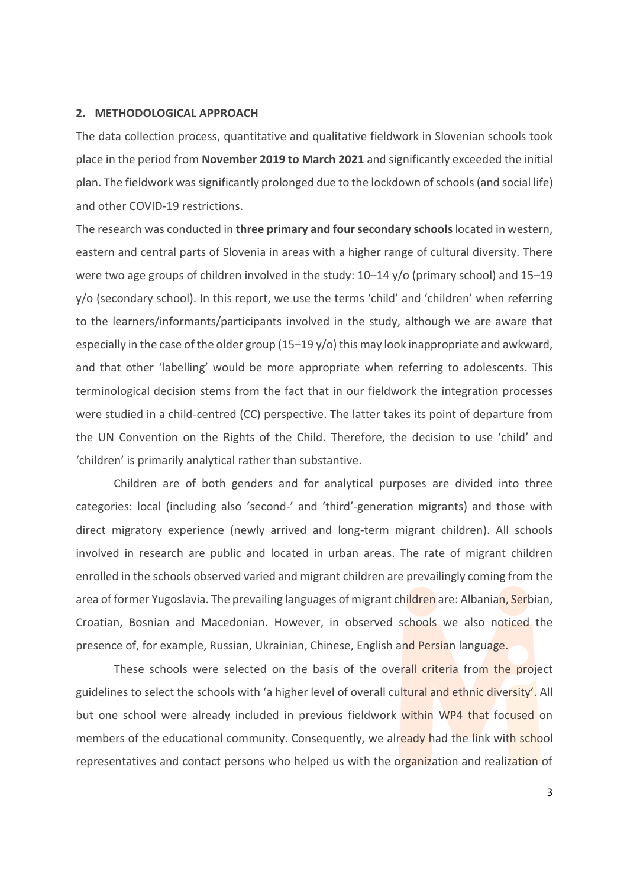## <span id="page-5-0"></span>**2. METHODOLOGICAL APPROACH**

The data collection process, quantitative and qualitative fieldwork in Slovenian schools took place in the period from **November 2019 to March 2021** and significantly exceeded the initial plan. The fieldwork was significantly prolonged due to the lockdown of schools(and social life) and other COVID-19 restrictions.

The research was conducted in **three primary and foursecondary schools**located in western, eastern and central parts of Slovenia in areas with a higher range of cultural diversity. There were two age groups of children involved in the study: 10–14 y/o (primary school) and 15–19 y/o (secondary school). In this report, we use the terms 'child' and 'children' when referring to the learners/informants/participants involved in the study, although we are aware that especially in the case of the older group (15–19 y/o) this may look inappropriate and awkward, and that other 'labelling' would be more appropriate when referring to adolescents. This terminological decision stems from the fact that in our fieldwork the integration processes were studied in a child-centred (CC) perspective. The latter takes its point of departure from the UN Convention on the Rights of the Child. Therefore, the decision to use 'child' and 'children' is primarily analytical rather than substantive.

Children are of both genders and for analytical purposes are divided into three categories: local (including also 'second-' and 'third'-generation migrants) and those with direct migratory experience (newly arrived and long-term migrant children). All schools involved in research are public and located in urban areas. The rate of migrant children enrolled in the schools observed varied and migrant children are prevailingly coming from the area of former Yugoslavia. The prevailing languages of migrant children are: Albanian, Serbian, Croatian, Bosnian and Macedonian. However, in observed schools we also noticed the presence of, for example, Russian, Ukrainian, Chinese, English and Persian language.

These schools were selected on the basis of the overall criteria from the project guidelines to select the schools with 'a higher level of overall cultural and ethnic diversity'. All but one school were already included in previous fieldwork within WP4 that focused on members of the educational community. Consequently, we already had the link with school representatives and contact persons who helped us with the organization and realization of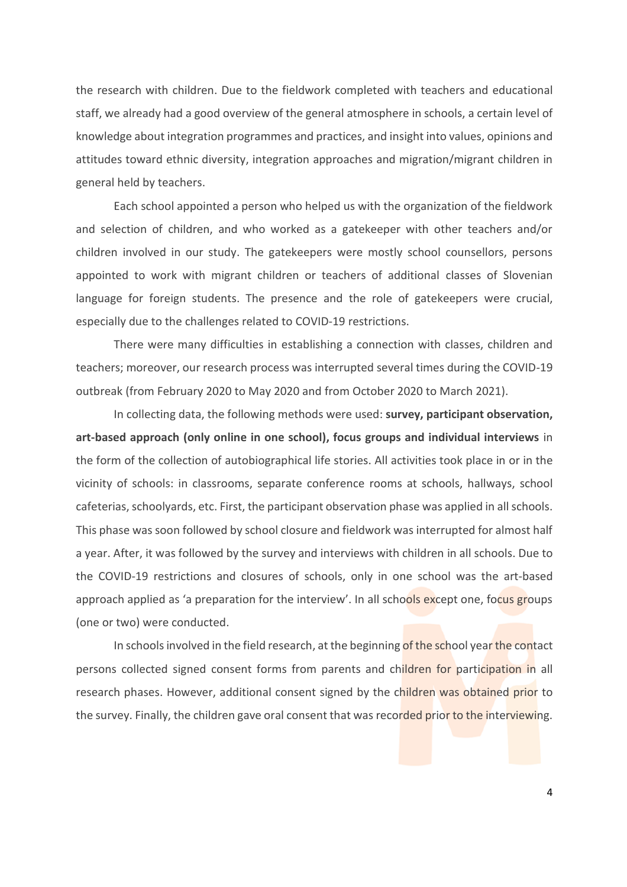the research with children. Due to the fieldwork completed with teachers and educational staff, we already had a good overview of the general atmosphere in schools, a certain level of knowledge about integration programmes and practices, and insight into values, opinions and attitudes toward ethnic diversity, integration approaches and migration/migrant children in general held by teachers.

Each school appointed a person who helped us with the organization of the fieldwork and selection of children, and who worked as a gatekeeper with other teachers and/or children involved in our study. The gatekeepers were mostly school counsellors, persons appointed to work with migrant children or teachers of additional classes of Slovenian language for foreign students. The presence and the role of gatekeepers were crucial, especially due to the challenges related to COVID-19 restrictions.

There were many difficulties in establishing a connection with classes, children and teachers; moreover, our research process was interrupted several times during the COVID-19 outbreak (from February 2020 to May 2020 and from October 2020 to March 2021).

In collecting data, the following methods were used: **survey, participant observation, art-based approach (only online in one school), focus groups and individual interviews** in the form of the collection of autobiographical life stories. All activities took place in or in the vicinity of schools: in classrooms, separate conference rooms at schools, hallways, school cafeterias, schoolyards, etc. First, the participant observation phase was applied in all schools. This phase was soon followed by school closure and fieldwork was interrupted for almost half a year. After, it was followed by the survey and interviews with children in all schools. Due to the COVID-19 restrictions and closures of schools, only in one school was the art-based approach applied as 'a preparation for the interview'. In all schools except one, focus groups (one or two) were conducted.

In schools involved in the field research, at the beginning of the school year the contact persons collected signed consent forms from parents and children for participation in all research phases. However, additional consent signed by the children was obtained prior to the survey. Finally, the children gave oral consent that was recorded prior to the interviewing.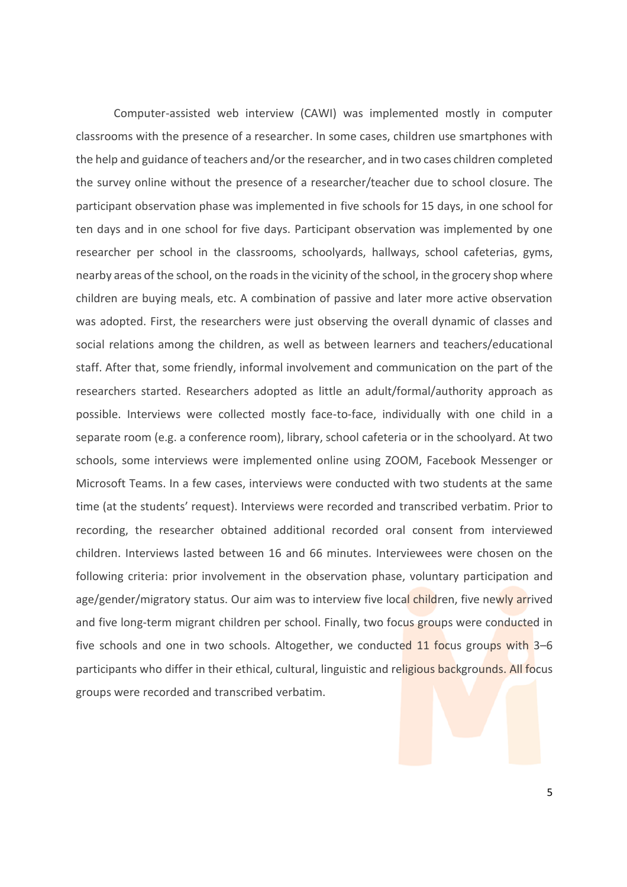Computer-assisted web interview (CAWI) was implemented mostly in computer classrooms with the presence of a researcher. In some cases, children use smartphones with the help and guidance of teachers and/or the researcher, and in two cases children completed the survey online without the presence of a researcher/teacher due to school closure. The participant observation phase was implemented in five schools for 15 days, in one school for ten days and in one school for five days. Participant observation was implemented by one researcher per school in the classrooms, schoolyards, hallways, school cafeterias, gyms, nearby areas of the school, on the roadsin the vicinity of the school, in the grocery shop where children are buying meals, etc. A combination of passive and later more active observation was adopted. First, the researchers were just observing the overall dynamic of classes and social relations among the children, as well as between learners and teachers/educational staff. After that, some friendly, informal involvement and communication on the part of the researchers started. Researchers adopted as little an adult/formal/authority approach as possible. Interviews were collected mostly face-to-face, individually with one child in a separate room (e.g. a conference room), library, school cafeteria or in the schoolyard. At two schools, some interviews were implemented online using ZOOM, Facebook Messenger or Microsoft Teams. In a few cases, interviews were conducted with two students at the same time (at the students' request). Interviews were recorded and transcribed verbatim. Prior to recording, the researcher obtained additional recorded oral consent from interviewed children. Interviews lasted between 16 and 66 minutes. Interviewees were chosen on the following criteria: prior involvement in the observation phase, voluntary participation and age/gender/migratory status. Our aim was to interview five local children, five newly arrived and five long-term migrant children per school. Finally, two focus groups were conducted in five schools and one in two schools. Altogether, we conducted 11 focus groups with 3-6 participants who differ in their ethical, cultural, linguistic and religious backgrounds. All focus groups were recorded and transcribed verbatim.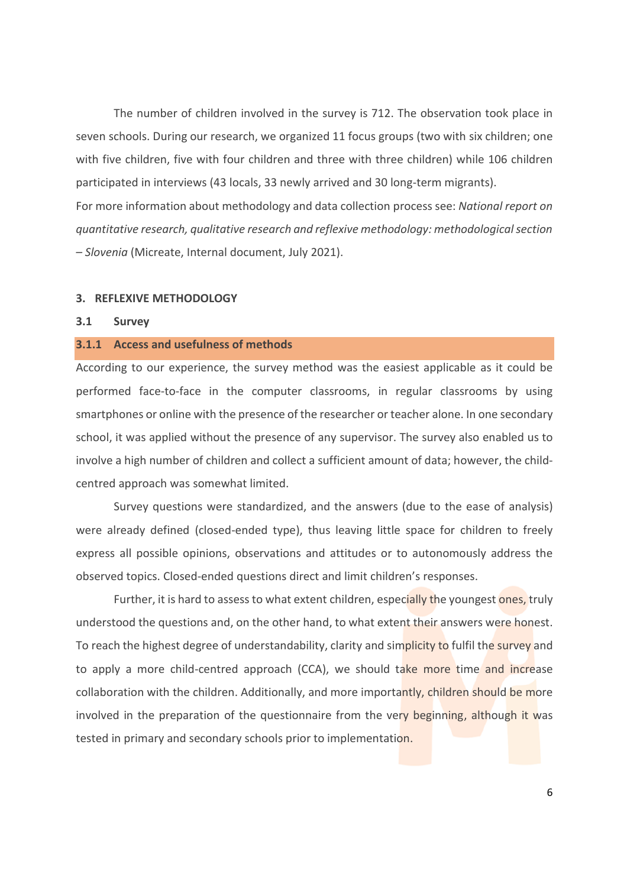The number of children involved in the survey is 712. The observation took place in seven schools. During our research, we organized 11 focus groups (two with six children; one with five children, five with four children and three with three children) while 106 children participated in interviews (43 locals, 33 newly arrived and 30 long-term migrants). For more information about methodology and data collection process see: *National report on quantitative research, qualitative research and reflexive methodology: methodological section* 

# <span id="page-8-0"></span>**3. REFLEXIVE METHODOLOGY**

#### <span id="page-8-1"></span>**3.1 Survey**

### <span id="page-8-2"></span>**3.1.1 Access and usefulness of methods**

*– Slovenia* (Micreate, Internal document, July 2021).

According to our experience, the survey method was the easiest applicable as it could be performed face-to-face in the computer classrooms, in regular classrooms by using smartphones or online with the presence of the researcher or teacher alone. In one secondary school, it was applied without the presence of any supervisor. The survey also enabled us to involve a high number of children and collect a sufficient amount of data; however, the childcentred approach was somewhat limited.

Survey questions were standardized, and the answers (due to the ease of analysis) were already defined (closed-ended type), thus leaving little space for children to freely express all possible opinions, observations and attitudes or to autonomously address the observed topics. Closed-ended questions direct and limit children's responses.

Further, it is hard to assess to what extent children, especially the youngest ones, truly understood the questions and, on the other hand, to what extent their answers were honest. To reach the highest degree of understandability, clarity and simplicity to fulfil the survey and to apply a more child-centred approach (CCA), we should take more time and increase collaboration with the children. Additionally, and more importantly, children should be more involved in the preparation of the questionnaire from the very beginning, although it was tested in primary and secondary schools prior to implementation.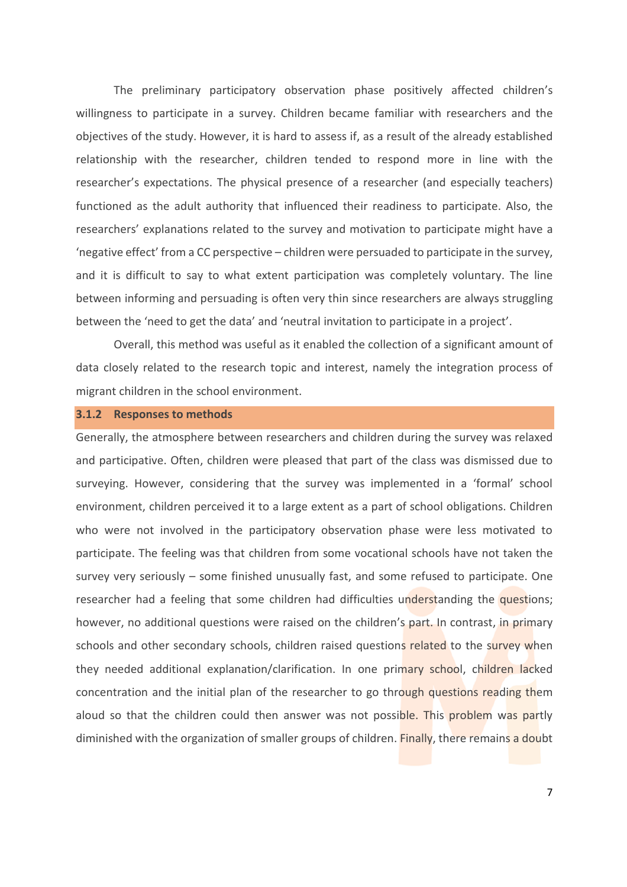The preliminary participatory observation phase positively affected children's willingness to participate in a survey. Children became familiar with researchers and the objectives of the study. However, it is hard to assess if, as a result of the already established relationship with the researcher, children tended to respond more in line with the researcher's expectations. The physical presence of a researcher (and especially teachers) functioned as the adult authority that influenced their readiness to participate. Also, the researchers' explanations related to the survey and motivation to participate might have a 'negative effect' from a CC perspective – children were persuaded to participate in the survey, and it is difficult to say to what extent participation was completely voluntary. The line between informing and persuading is often very thin since researchers are always struggling between the 'need to get the data' and 'neutral invitation to participate in a project'.

Overall, this method was useful as it enabled the collection of a significant amount of data closely related to the research topic and interest, namely the integration process of migrant children in the school environment.

### <span id="page-9-0"></span>**3.1.2 Responses to methods**

Generally, the atmosphere between researchers and children during the survey was relaxed and participative. Often, children were pleased that part of the class was dismissed due to surveying. However, considering that the survey was implemented in a 'formal' school environment, children perceived it to a large extent as a part of school obligations. Children who were not involved in the participatory observation phase were less motivated to participate. The feeling was that children from some vocational schools have not taken the survey very seriously – some finished unusually fast, and some refused to participate. One researcher had a feeling that some children had difficulties understanding the questions; however, no additional questions were raised on the children's part. In contrast, in primary schools and other secondary schools, children raised questions related to the survey when they needed additional explanation/clarification. In one primary school, children lacked concentration and the initial plan of the researcher to go through questions reading them aloud so that the children could then answer was not possible. This problem was partly diminished with the organization of smaller groups of children. Finally, there remains a doubt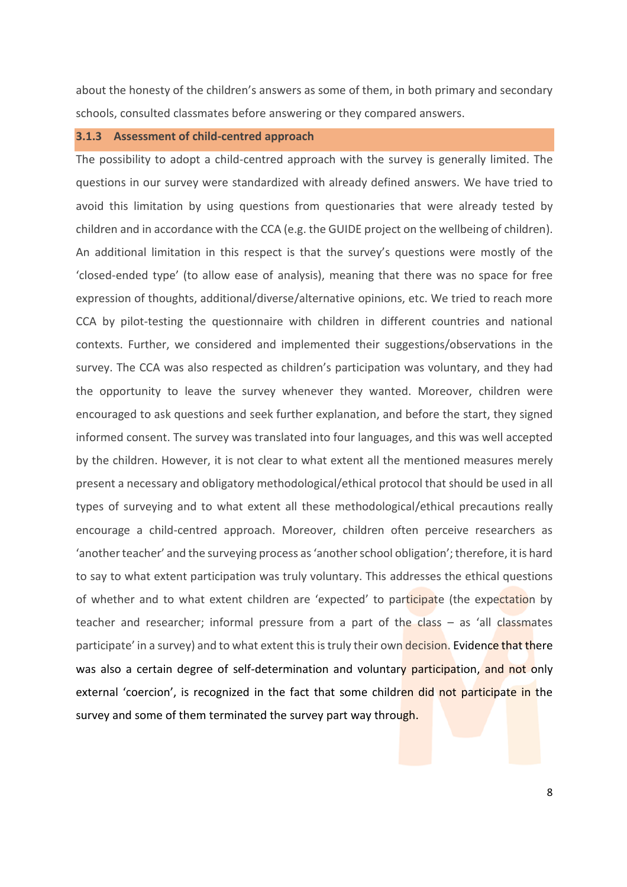about the honesty of the children's answers as some of them, in both primary and secondary schools, consulted classmates before answering or they compared answers.

# <span id="page-10-0"></span>**3.1.3 Assessment of child-centred approach**

The possibility to adopt a child-centred approach with the survey is generally limited. The questions in our survey were standardized with already defined answers. We have tried to avoid this limitation by using questions from questionaries that were already tested by children and in accordance with the CCA (e.g. the GUIDE project on the wellbeing of children). An additional limitation in this respect is that the survey's questions were mostly of the 'closed-ended type' (to allow ease of analysis), meaning that there was no space for free expression of thoughts, additional/diverse/alternative opinions, etc. We tried to reach more CCA by pilot-testing the questionnaire with children in different countries and national contexts. Further, we considered and implemented their suggestions/observations in the survey. The CCA was also respected as children's participation was voluntary, and they had the opportunity to leave the survey whenever they wanted. Moreover, children were encouraged to ask questions and seek further explanation, and before the start, they signed informed consent. The survey was translated into four languages, and this was well accepted by the children. However, it is not clear to what extent all the mentioned measures merely present a necessary and obligatory methodological/ethical protocol that should be used in all types of surveying and to what extent all these methodological/ethical precautions really encourage a child-centred approach. Moreover, children often perceive researchers as 'another teacher' and the surveying process as 'another school obligation'; therefore, it is hard to say to what extent participation was truly voluntary. This addresses the ethical questions of whether and to what extent children are 'expected' to participate (the expectation by teacher and researcher; informal pressure from a part of the class  $-$  as 'all classmates participate' in a survey) and to what extent this is truly their own decision. Evidence that there was also a certain degree of self-determination and voluntary participation, and not only external 'coercion', is recognized in the fact that some children did not participate in the survey and some of them terminated the survey part way through.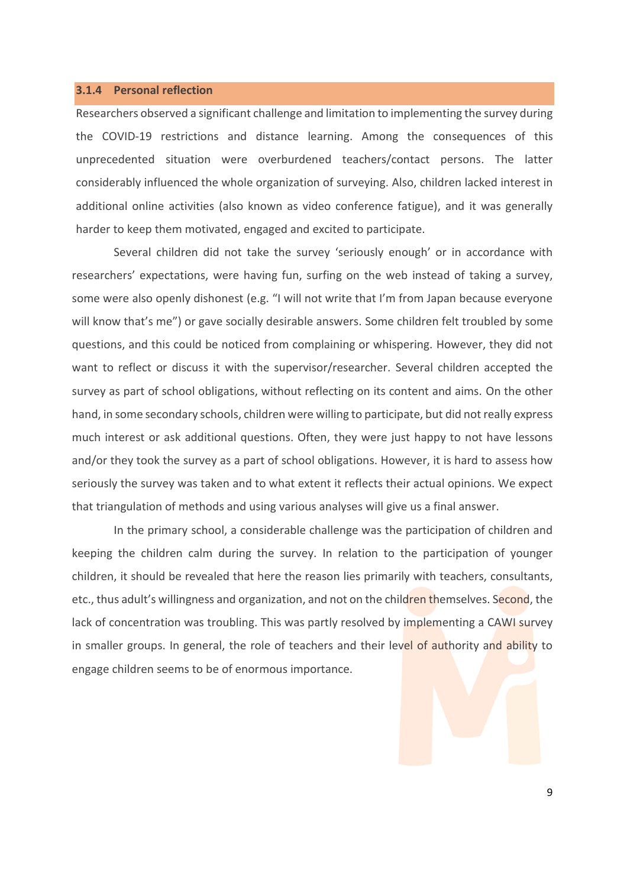# <span id="page-11-0"></span>**3.1.4 Personal reflection**

Researchers observed a significant challenge and limitation to implementing the survey during the COVID-19 restrictions and distance learning. Among the consequences of this unprecedented situation were overburdened teachers/contact persons. The latter considerably influenced the whole organization of surveying. Also, children lacked interest in additional online activities (also known as video conference fatigue), and it was generally harder to keep them motivated, engaged and excited to participate.

Several children did not take the survey 'seriously enough' or in accordance with researchers' expectations, were having fun, surfing on the web instead of taking a survey, some were also openly dishonest (e.g. "I will not write that I'm from Japan because everyone will know that's me") or gave socially desirable answers. Some children felt troubled by some questions, and this could be noticed from complaining or whispering. However, they did not want to reflect or discuss it with the supervisor/researcher. Several children accepted the survey as part of school obligations, without reflecting on its content and aims. On the other hand, in some secondary schools, children were willing to participate, but did not really express much interest or ask additional questions. Often, they were just happy to not have lessons and/or they took the survey as a part of school obligations. However, it is hard to assess how seriously the survey was taken and to what extent it reflects their actual opinions. We expect that triangulation of methods and using various analyses will give us a final answer.

In the primary school, a considerable challenge was the participation of children and keeping the children calm during the survey. In relation to the participation of younger children, it should be revealed that here the reason lies primarily with teachers, consultants, etc., thus adult's willingness and organization, and not on the children themselves. Second, the lack of concentration was troubling. This was partly resolved by implementing a CAWI survey in smaller groups. In general, the role of teachers and their level of authority and ability to engage children seems to be of enormous importance.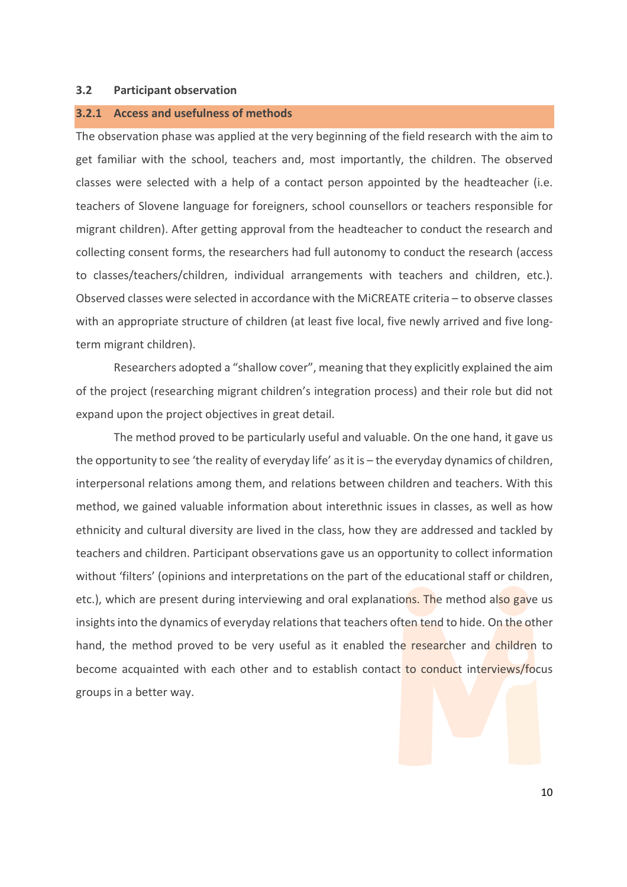### <span id="page-12-0"></span>**3.2 Participant observation**

### <span id="page-12-1"></span>**3.2.1 Access and usefulness of methods**

The observation phase was applied at the very beginning of the field research with the aim to get familiar with the school, teachers and, most importantly, the children. The observed classes were selected with a help of a contact person appointed by the headteacher (i.e. teachers of Slovene language for foreigners, school counsellors or teachers responsible for migrant children). After getting approval from the headteacher to conduct the research and collecting consent forms, the researchers had full autonomy to conduct the research (access to classes/teachers/children, individual arrangements with teachers and children, etc.). Observed classes were selected in accordance with the MiCREATE criteria – to observe classes with an appropriate structure of children (at least five local, five newly arrived and five longterm migrant children).

Researchers adopted a "shallow cover", meaning that they explicitly explained the aim of the project (researching migrant children's integration process) and their role but did not expand upon the project objectives in great detail.

The method proved to be particularly useful and valuable. On the one hand, it gave us the opportunity to see 'the reality of everyday life' as it is – the everyday dynamics of children, interpersonal relations among them, and relations between children and teachers. With this method, we gained valuable information about interethnic issues in classes, as well as how ethnicity and cultural diversity are lived in the class, how they are addressed and tackled by teachers and children. Participant observations gave us an opportunity to collect information without 'filters' (opinions and interpretations on the part of the educational staff or children, etc.), which are present during interviewing and oral explanations. The method also gave us insights into the dynamics of everyday relations that teachers often tend to hide. On the other hand, the method proved to be very useful as it enabled the researcher and children to become acquainted with each other and to establish contact to conduct interviews/focus groups in a better way.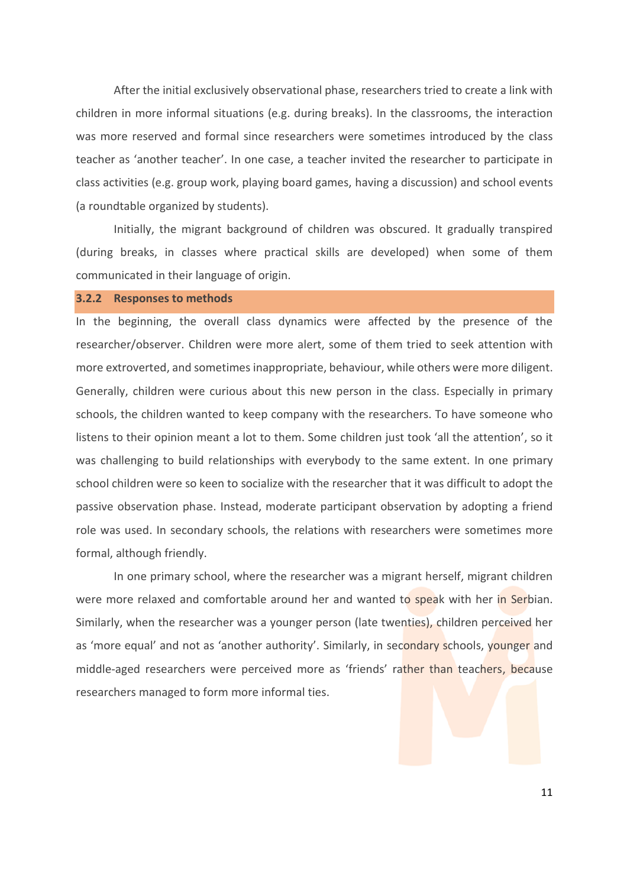After the initial exclusively observational phase, researchers tried to create a link with children in more informal situations (e.g. during breaks). In the classrooms, the interaction was more reserved and formal since researchers were sometimes introduced by the class teacher as 'another teacher'. In one case, a teacher invited the researcher to participate in class activities (e.g. group work, playing board games, having a discussion) and school events (a roundtable organized by students).

Initially, the migrant background of children was obscured. It gradually transpired (during breaks, in classes where practical skills are developed) when some of them communicated in their language of origin.

#### <span id="page-13-0"></span>**3.2.2 Responses to methods**

In the beginning, the overall class dynamics were affected by the presence of the researcher/observer. Children were more alert, some of them tried to seek attention with more extroverted, and sometimes inappropriate, behaviour, while others were more diligent. Generally, children were curious about this new person in the class. Especially in primary schools, the children wanted to keep company with the researchers. To have someone who listens to their opinion meant a lot to them. Some children just took 'all the attention', so it was challenging to build relationships with everybody to the same extent. In one primary school children were so keen to socialize with the researcher that it was difficult to adopt the passive observation phase. Instead, moderate participant observation by adopting a friend role was used. In secondary schools, the relations with researchers were sometimes more formal, although friendly.

In one primary school, where the researcher was a migrant herself, migrant children were more relaxed and comfortable around her and wanted to speak with her in Serbian. Similarly, when the researcher was a younger person (late twenties), children perceived her as 'more equal' and not as 'another authority'. Similarly, in secondary schools, younger and middle-aged researchers were perceived more as 'friends' rather than teachers, because researchers managed to form more informal ties.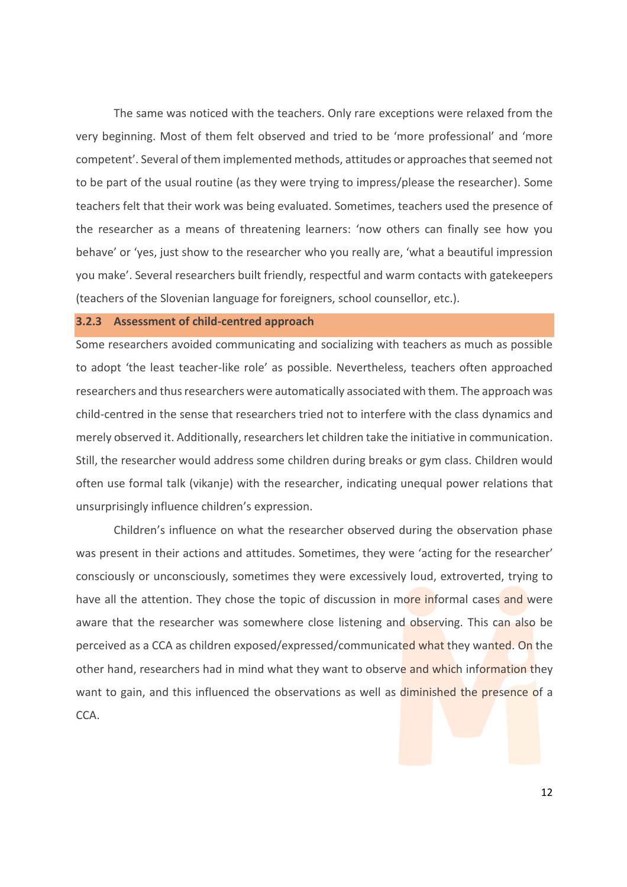The same was noticed with the teachers. Only rare exceptions were relaxed from the very beginning. Most of them felt observed and tried to be 'more professional' and 'more competent'. Several of them implemented methods, attitudes or approaches that seemed not to be part of the usual routine (as they were trying to impress/please the researcher). Some teachers felt that their work was being evaluated. Sometimes, teachers used the presence of the researcher as a means of threatening learners: 'now others can finally see how you behave' or 'yes, just show to the researcher who you really are, 'what a beautiful impression you make'. Several researchers built friendly, respectful and warm contacts with gatekeepers (teachers of the Slovenian language for foreigners, school counsellor, etc.).

## <span id="page-14-0"></span>**3.2.3 Assessment of child-centred approach**

Some researchers avoided communicating and socializing with teachers as much as possible to adopt 'the least teacher-like role' as possible. Nevertheless, teachers often approached researchers and thus researchers were automatically associated with them. The approach was child-centred in the sense that researchers tried not to interfere with the class dynamics and merely observed it. Additionally, researchers let children take the initiative in communication. Still, the researcher would address some children during breaks or gym class. Children would often use formal talk (vikanje) with the researcher, indicating unequal power relations that unsurprisingly influence children's expression.

Children's influence on what the researcher observed during the observation phase was present in their actions and attitudes. Sometimes, they were 'acting for the researcher' consciously or unconsciously, sometimes they were excessively loud, extroverted, trying to have all the attention. They chose the topic of discussion in more informal cases and were aware that the researcher was somewhere close listening and observing. This can also be perceived as a CCA as children exposed/expressed/communicated what they wanted. On the other hand, researchers had in mind what they want to observe and which information they want to gain, and this influenced the observations as well as diminished the presence of a CCA.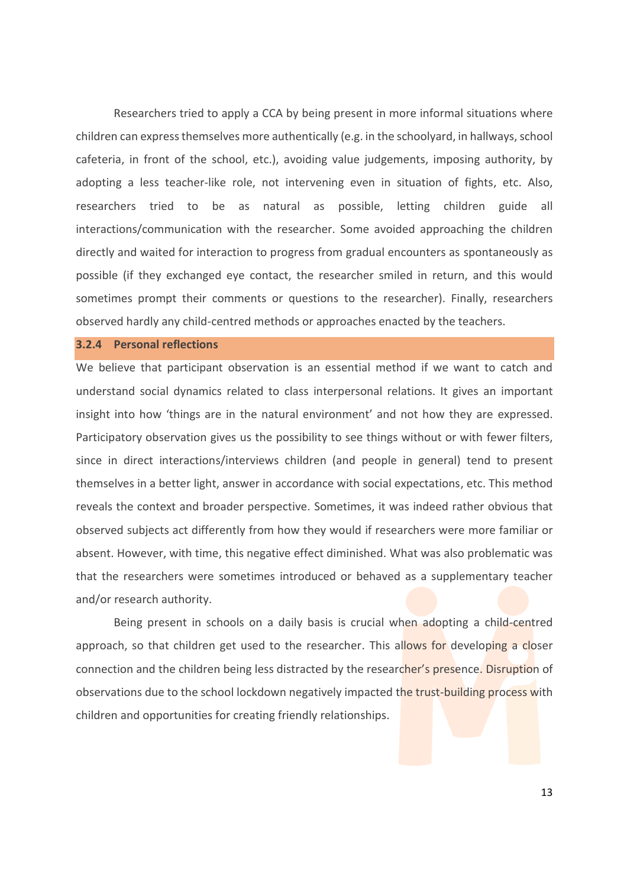Researchers tried to apply a CCA by being present in more informal situations where children can express themselves more authentically (e.g. in the schoolyard, in hallways, school cafeteria, in front of the school, etc.), avoiding value judgements, imposing authority, by adopting a less teacher-like role, not intervening even in situation of fights, etc. Also, researchers tried to be as natural as possible, letting children guide all interactions/communication with the researcher. Some avoided approaching the children directly and waited for interaction to progress from gradual encounters as spontaneously as possible (if they exchanged eye contact, the researcher smiled in return, and this would sometimes prompt their comments or questions to the researcher). Finally, researchers observed hardly any child-centred methods or approaches enacted by the teachers.

# <span id="page-15-0"></span>**3.2.4 Personal reflections**

We believe that participant observation is an essential method if we want to catch and understand social dynamics related to class interpersonal relations. It gives an important insight into how 'things are in the natural environment' and not how they are expressed. Participatory observation gives us the possibility to see things without or with fewer filters, since in direct interactions/interviews children (and people in general) tend to present themselves in a better light, answer in accordance with social expectations, etc. This method reveals the context and broader perspective. Sometimes, it was indeed rather obvious that observed subjects act differently from how they would if researchers were more familiar or absent. However, with time, this negative effect diminished. What was also problematic was that the researchers were sometimes introduced or behaved as a supplementary teacher and/or research authority.

Being present in schools on a daily basis is crucial when adopting a child-centred approach, so that children get used to the researcher. This allows for developing a closer connection and the children being less distracted by the researcher's presence. Disruption of observations due to the school lockdown negatively impacted the trust-building process with children and opportunities for creating friendly relationships.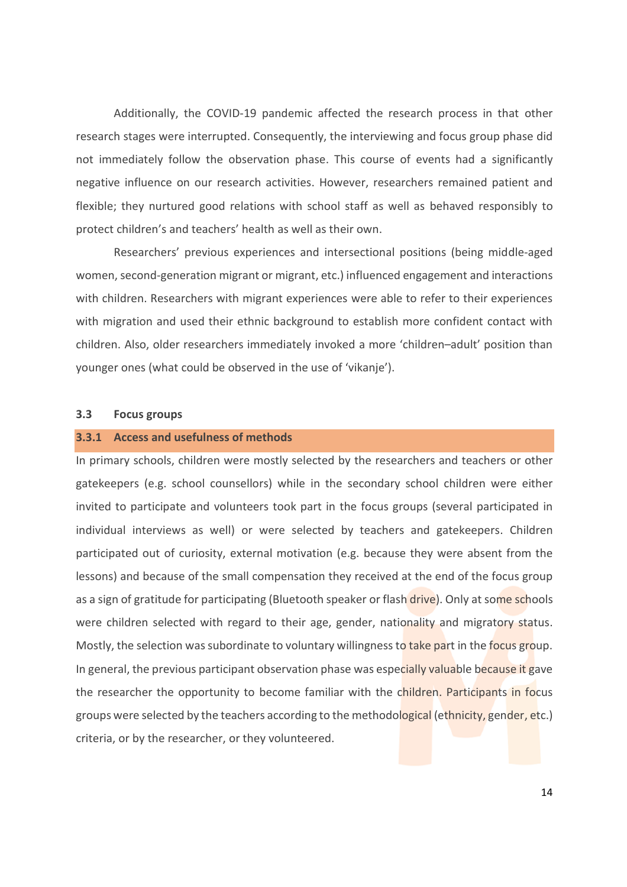Additionally, the COVID-19 pandemic affected the research process in that other research stages were interrupted. Consequently, the interviewing and focus group phase did not immediately follow the observation phase. This course of events had a significantly negative influence on our research activities. However, researchers remained patient and flexible; they nurtured good relations with school staff as well as behaved responsibly to protect children's and teachers' health as well as their own.

Researchers' previous experiences and intersectional positions (being middle-aged women, second-generation migrant or migrant, etc.) influenced engagement and interactions with children. Researchers with migrant experiences were able to refer to their experiences with migration and used their ethnic background to establish more confident contact with children. Also, older researchers immediately invoked a more 'children–adult' position than younger ones (what could be observed in the use of 'vikanje').

# <span id="page-16-0"></span>**3.3 Focus groups**

### <span id="page-16-1"></span>**3.3.1 Access and usefulness of methods**

In primary schools, children were mostly selected by the researchers and teachers or other gatekeepers (e.g. school counsellors) while in the secondary school children were either invited to participate and volunteers took part in the focus groups (several participated in individual interviews as well) or were selected by teachers and gatekeepers. Children participated out of curiosity, external motivation (e.g. because they were absent from the lessons) and because of the small compensation they received at the end of the focus group as a sign of gratitude for participating (Bluetooth speaker or flash drive). Only at some schools were children selected with regard to their age, gender, nationality and migratory status. Mostly, the selection was subordinate to voluntary willingness to take part in the focus group. In general, the previous participant observation phase was especially valuable because it gave the researcher the opportunity to become familiar with the children. Participants in focus groups were selected by the teachers according to the methodological (ethnicity, gender, etc.) criteria, or by the researcher, or they volunteered.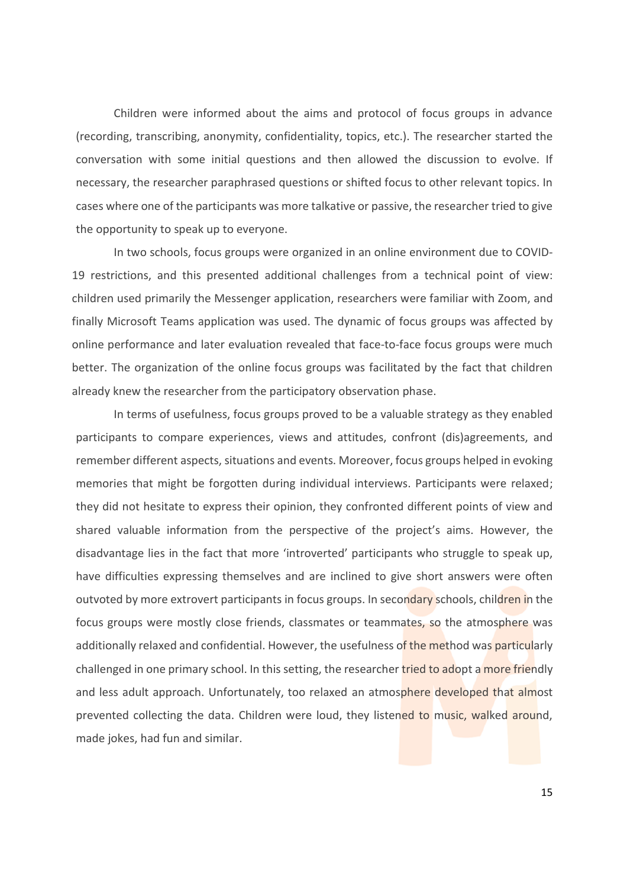Children were informed about the aims and protocol of focus groups in advance (recording, transcribing, anonymity, confidentiality, topics, etc.). The researcher started the conversation with some initial questions and then allowed the discussion to evolve. If necessary, the researcher paraphrased questions or shifted focus to other relevant topics. In cases where one of the participants was more talkative or passive, the researcher tried to give the opportunity to speak up to everyone.

In two schools, focus groups were organized in an online environment due to COVID-19 restrictions, and this presented additional challenges from a technical point of view: children used primarily the Messenger application, researchers were familiar with Zoom, and finally Microsoft Teams application was used. The dynamic of focus groups was affected by online performance and later evaluation revealed that face-to-face focus groups were much better. The organization of the online focus groups was facilitated by the fact that children already knew the researcher from the participatory observation phase.

In terms of usefulness, focus groups proved to be a valuable strategy as they enabled participants to compare experiences, views and attitudes, confront (dis)agreements, and remember different aspects, situations and events. Moreover, focus groups helped in evoking memories that might be forgotten during individual interviews. Participants were relaxed; they did not hesitate to express their opinion, they confronted different points of view and shared valuable information from the perspective of the project's aims. However, the disadvantage lies in the fact that more 'introverted' participants who struggle to speak up, have difficulties expressing themselves and are inclined to give short answers were often outvoted by more extrovert participants in focus groups. In secondary schools, children in the focus groups were mostly close friends, classmates or teammates, so the atmosphere was additionally relaxed and confidential. However, the usefulness of the method was particularly challenged in one primary school. In this setting, the researcher tried to adopt a more friendly and less adult approach. Unfortunately, too relaxed an atmosphere developed that almost prevented collecting the data. Children were loud, they listened to music, walked around, made jokes, had fun and similar.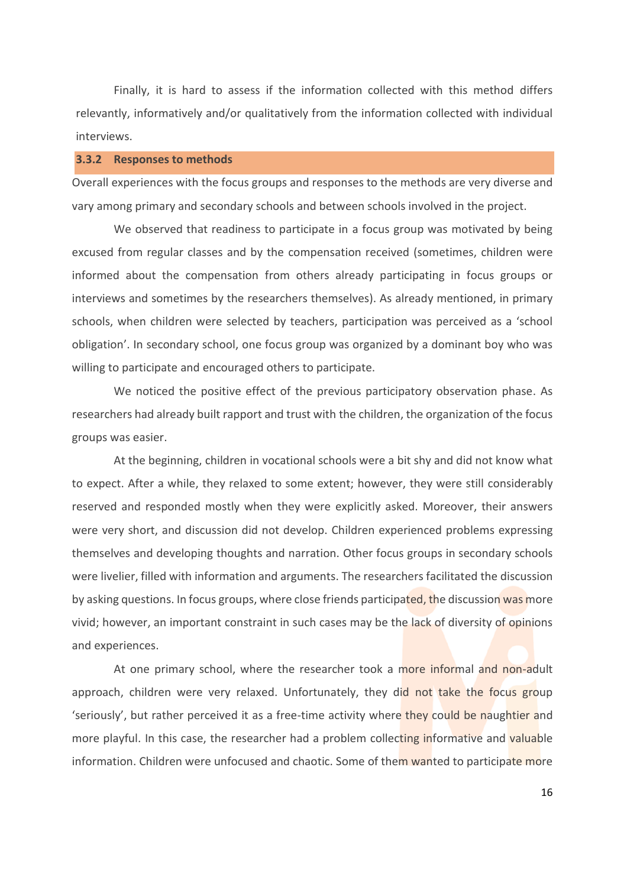Finally, it is hard to assess if the information collected with this method differs relevantly, informatively and/or qualitatively from the information collected with individual interviews.

# <span id="page-18-0"></span>**3.3.2 Responses to methods**

Overall experiences with the focus groups and responses to the methods are very diverse and vary among primary and secondary schools and between schools involved in the project.

We observed that readiness to participate in a focus group was motivated by being excused from regular classes and by the compensation received (sometimes, children were informed about the compensation from others already participating in focus groups or interviews and sometimes by the researchers themselves). As already mentioned, in primary schools, when children were selected by teachers, participation was perceived as a 'school obligation'. In secondary school, one focus group was organized by a dominant boy who was willing to participate and encouraged others to participate.

We noticed the positive effect of the previous participatory observation phase. As researchers had already built rapport and trust with the children, the organization of the focus groups was easier.

At the beginning, children in vocational schools were a bit shy and did not know what to expect. After a while, they relaxed to some extent; however, they were still considerably reserved and responded mostly when they were explicitly asked. Moreover, their answers were very short, and discussion did not develop. Children experienced problems expressing themselves and developing thoughts and narration. Other focus groups in secondary schools were livelier, filled with information and arguments. The researchers facilitated the discussion by asking questions. In focus groups, where close friends participated, the discussion was more vivid; however, an important constraint in such cases may be the lack of diversity of opinions and experiences.

At one primary school, where the researcher took a more informal and non-adult approach, children were very relaxed. Unfortunately, they did not take the focus group 'seriously', but rather perceived it as a free-time activity where they could be naughtier and more playful. In this case, the researcher had a problem collecting informative and valuable information. Children were unfocused and chaotic. Some of them wanted to participate more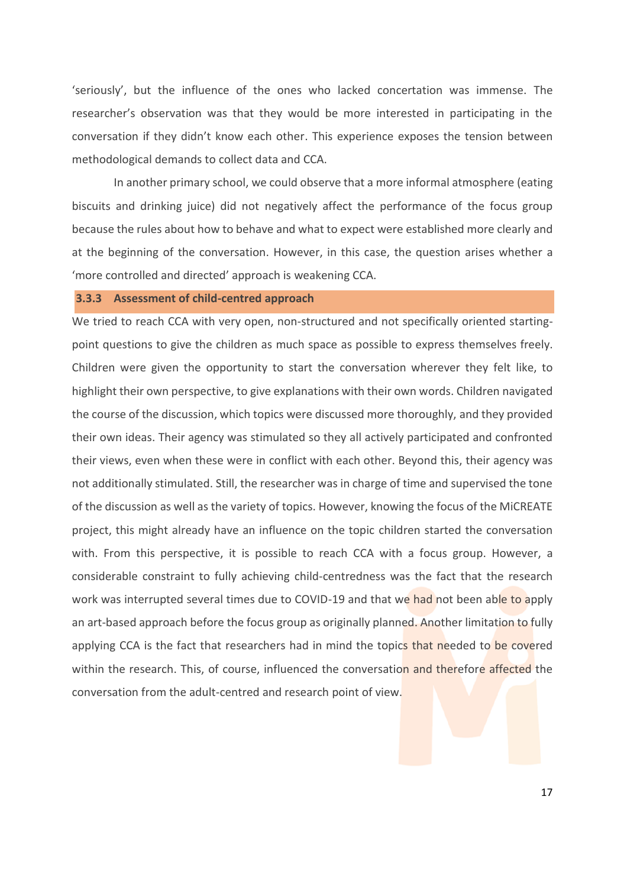'seriously', but the influence of the ones who lacked concertation was immense. The researcher's observation was that they would be more interested in participating in the conversation if they didn't know each other. This experience exposes the tension between methodological demands to collect data and CCA.

In another primary school, we could observe that a more informal atmosphere (eating biscuits and drinking juice) did not negatively affect the performance of the focus group because the rules about how to behave and what to expect were established more clearly and at the beginning of the conversation. However, in this case, the question arises whether a 'more controlled and directed' approach is weakening CCA.

# <span id="page-19-0"></span>**3.3.3 Assessment of child-centred approach**

We tried to reach CCA with very open, non-structured and not specifically oriented startingpoint questions to give the children as much space as possible to express themselves freely. Children were given the opportunity to start the conversation wherever they felt like, to highlight their own perspective, to give explanations with their own words. Children navigated the course of the discussion, which topics were discussed more thoroughly, and they provided their own ideas. Their agency was stimulated so they all actively participated and confronted their views, even when these were in conflict with each other. Beyond this, their agency was not additionally stimulated. Still, the researcher was in charge of time and supervised the tone of the discussion as well as the variety of topics. However, knowing the focus of the MiCREATE project, this might already have an influence on the topic children started the conversation with. From this perspective, it is possible to reach CCA with a focus group. However, a considerable constraint to fully achieving child-centredness was the fact that the research work was interrupted several times due to COVID-19 and that we had not been able to apply an art-based approach before the focus group as originally planned. Another limitation to fully applying CCA is the fact that researchers had in mind the topics that needed to be covered within the research. This, of course, influenced the conversation and therefore affected the conversation from the adult-centred and research point of view.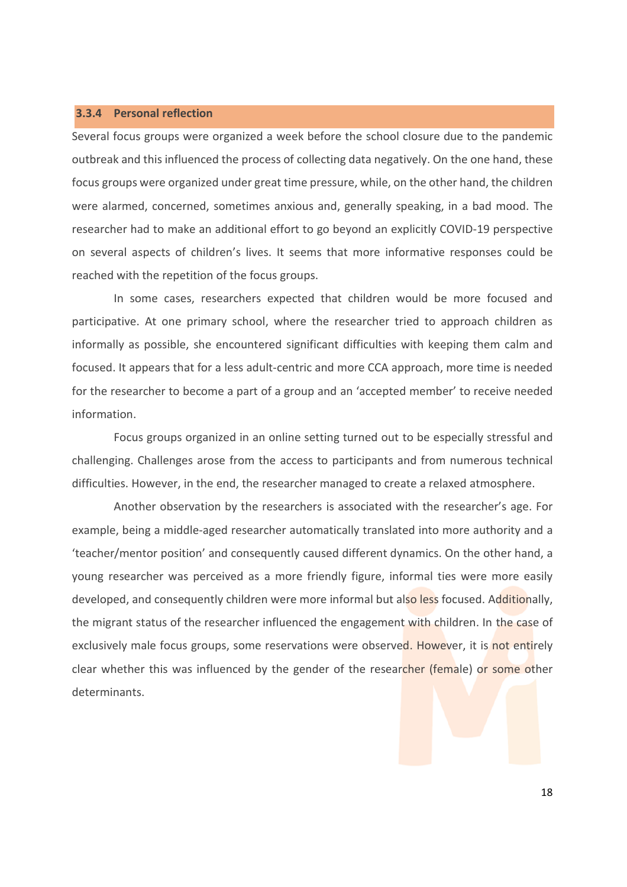# <span id="page-20-0"></span>**3.3.4 Personal reflection**

Several focus groups were organized a week before the school closure due to the pandemic outbreak and this influenced the process of collecting data negatively. On the one hand, these focus groups were organized under great time pressure, while, on the other hand, the children were alarmed, concerned, sometimes anxious and, generally speaking, in a bad mood. The researcher had to make an additional effort to go beyond an explicitly COVID-19 perspective on several aspects of children's lives. It seems that more informative responses could be reached with the repetition of the focus groups.

In some cases, researchers expected that children would be more focused and participative. At one primary school, where the researcher tried to approach children as informally as possible, she encountered significant difficulties with keeping them calm and focused. It appears that for a less adult-centric and more CCA approach, more time is needed for the researcher to become a part of a group and an 'accepted member' to receive needed information.

Focus groups organized in an online setting turned out to be especially stressful and challenging. Challenges arose from the access to participants and from numerous technical difficulties. However, in the end, the researcher managed to create a relaxed atmosphere.

Another observation by the researchers is associated with the researcher's age. For example, being a middle-aged researcher automatically translated into more authority and a 'teacher/mentor position' and consequently caused different dynamics. On the other hand, a young researcher was perceived as a more friendly figure, informal ties were more easily developed, and consequently children were more informal but also less focused. Additionally, the migrant status of the researcher influenced the engagement with children. In the case of exclusively male focus groups, some reservations were observed. However, it is not entirely clear whether this was influenced by the gender of the researcher (female) or some other determinants.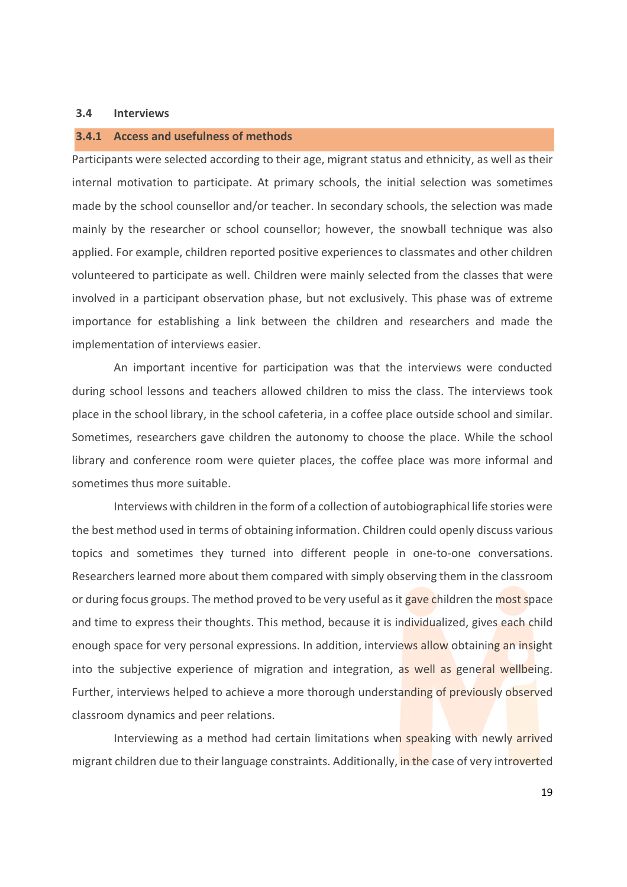# <span id="page-21-0"></span>**3.4 Interviews**

# <span id="page-21-1"></span>**3.4.1 Access and usefulness of methods**

Participants were selected according to their age, migrant status and ethnicity, as well as their internal motivation to participate. At primary schools, the initial selection was sometimes made by the school counsellor and/or teacher. In secondary schools, the selection was made mainly by the researcher or school counsellor; however, the snowball technique was also applied. For example, children reported positive experiences to classmates and other children volunteered to participate as well. Children were mainly selected from the classes that were involved in a participant observation phase, but not exclusively. This phase was of extreme importance for establishing a link between the children and researchers and made the implementation of interviews easier.

An important incentive for participation was that the interviews were conducted during school lessons and teachers allowed children to miss the class. The interviews took place in the school library, in the school cafeteria, in a coffee place outside school and similar. Sometimes, researchers gave children the autonomy to choose the place. While the school library and conference room were quieter places, the coffee place was more informal and sometimes thus more suitable.

Interviews with children in the form of a collection of autobiographical life stories were the best method used in terms of obtaining information. Children could openly discuss various topics and sometimes they turned into different people in one-to-one conversations. Researchers learned more about them compared with simply observing them in the classroom or during focus groups. The method proved to be very useful as it gave children the most space and time to express their thoughts. This method, because it is individualized, gives each child enough space for very personal expressions. In addition, interviews allow obtaining an insight into the subjective experience of migration and integration, as well as general wellbeing. Further, interviews helped to achieve a more thorough understanding of previously observed classroom dynamics and peer relations.

Interviewing as a method had certain limitations when speaking with newly arrived migrant children due to their language constraints. Additionally, in the case of very introverted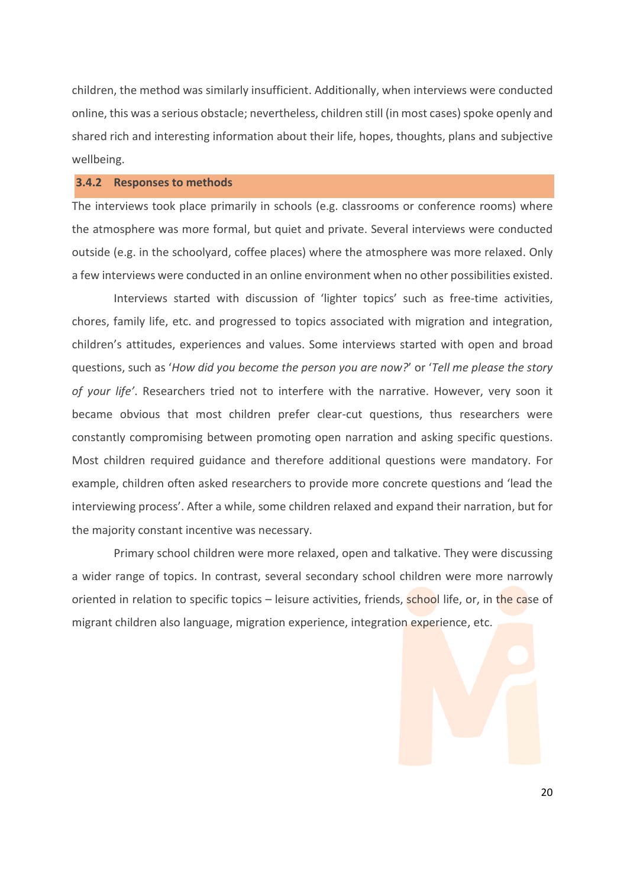children, the method was similarly insufficient. Additionally, when interviews were conducted online, this was a serious obstacle; nevertheless, children still (in most cases) spoke openly and shared rich and interesting information about their life, hopes, thoughts, plans and subjective wellbeing.

# <span id="page-22-0"></span>**3.4.2 Responses to methods**

The interviews took place primarily in schools (e.g. classrooms or conference rooms) where the atmosphere was more formal, but quiet and private. Several interviews were conducted outside (e.g. in the schoolyard, coffee places) where the atmosphere was more relaxed. Only a few interviews were conducted in an online environment when no other possibilities existed.

Interviews started with discussion of 'lighter topics' such as free-time activities, chores, family life, etc. and progressed to topics associated with migration and integration, children's attitudes, experiences and values. Some interviews started with open and broad questions, such as '*How did you become the person you are now?*' or '*Tell me please the story of your life'*. Researchers tried not to interfere with the narrative. However, very soon it became obvious that most children prefer clear-cut questions, thus researchers were constantly compromising between promoting open narration and asking specific questions. Most children required guidance and therefore additional questions were mandatory. For example, children often asked researchers to provide more concrete questions and 'lead the interviewing process'. After a while, some children relaxed and expand their narration, but for the majority constant incentive was necessary.

Primary school children were more relaxed, open and talkative. They were discussing a wider range of topics. In contrast, several secondary school children were more narrowly oriented in relation to specific topics – leisure activities, friends, school life, or, in the case of migrant children also language, migration experience, integration experience, etc.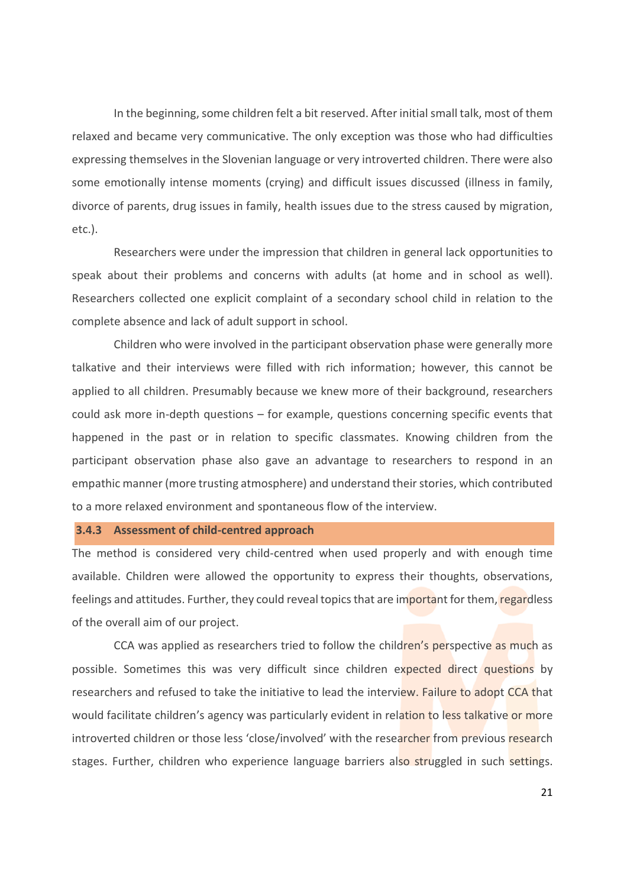In the beginning, some children felt a bit reserved. After initial small talk, most of them relaxed and became very communicative. The only exception was those who had difficulties expressing themselves in the Slovenian language or very introverted children. There were also some emotionally intense moments (crying) and difficult issues discussed (illness in family, divorce of parents, drug issues in family, health issues due to the stress caused by migration, etc.).

Researchers were under the impression that children in general lack opportunities to speak about their problems and concerns with adults (at home and in school as well). Researchers collected one explicit complaint of a secondary school child in relation to the complete absence and lack of adult support in school.

Children who were involved in the participant observation phase were generally more talkative and their interviews were filled with rich information; however, this cannot be applied to all children. Presumably because we knew more of their background, researchers could ask more in-depth questions – for example, questions concerning specific events that happened in the past or in relation to specific classmates. Knowing children from the participant observation phase also gave an advantage to researchers to respond in an empathic manner (more trusting atmosphere) and understand their stories, which contributed to a more relaxed environment and spontaneous flow of the interview.

# <span id="page-23-0"></span>**3.4.3 Assessment of child-centred approach**

The method is considered very child-centred when used properly and with enough time available. Children were allowed the opportunity to express their thoughts, observations, feelings and attitudes. Further, they could reveal topics that are important for them, regardless of the overall aim of our project.

CCA was applied as researchers tried to follow the children's perspective as much as possible. Sometimes this was very difficult since children expected direct questions by researchers and refused to take the initiative to lead the interview. Failure to adopt CCA that would facilitate children's agency was particularly evident in relation to less talkative or more introverted children or those less 'close/involved' with the researcher from previous research stages. Further, children who experience language barriers also struggled in such settings.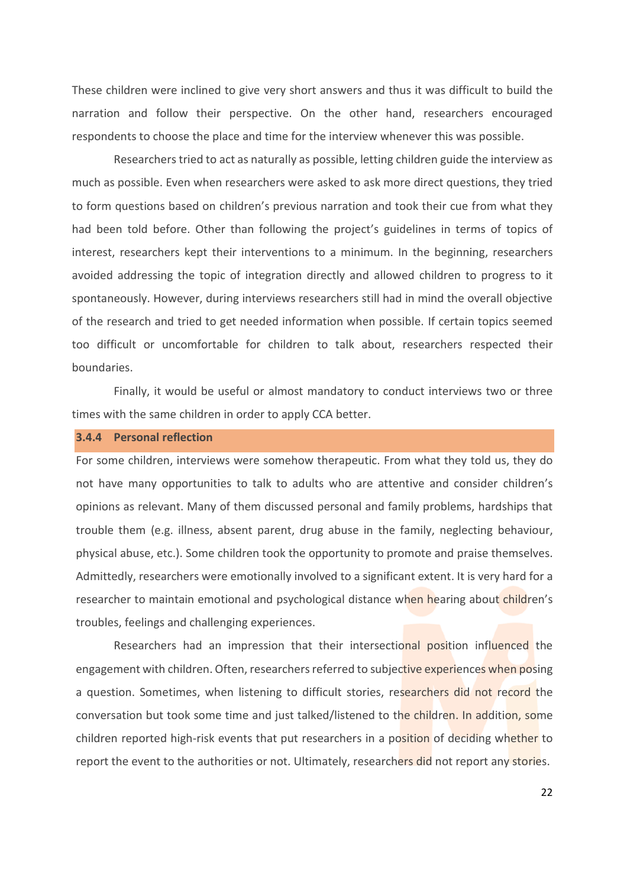These children were inclined to give very short answers and thus it was difficult to build the narration and follow their perspective. On the other hand, researchers encouraged respondents to choose the place and time for the interview whenever this was possible.

Researchers tried to act as naturally as possible, letting children guide the interview as much as possible. Even when researchers were asked to ask more direct questions, they tried to form questions based on children's previous narration and took their cue from what they had been told before. Other than following the project's guidelines in terms of topics of interest, researchers kept their interventions to a minimum. In the beginning, researchers avoided addressing the topic of integration directly and allowed children to progress to it spontaneously. However, during interviews researchers still had in mind the overall objective of the research and tried to get needed information when possible. If certain topics seemed too difficult or uncomfortable for children to talk about, researchers respected their boundaries.

Finally, it would be useful or almost mandatory to conduct interviews two or three times with the same children in order to apply CCA better.

# <span id="page-24-0"></span>**3.4.4 Personal reflection**

For some children, interviews were somehow therapeutic. From what they told us, they do not have many opportunities to talk to adults who are attentive and consider children's opinions as relevant. Many of them discussed personal and family problems, hardships that trouble them (e.g. illness, absent parent, drug abuse in the family, neglecting behaviour, physical abuse, etc.). Some children took the opportunity to promote and praise themselves. Admittedly, researchers were emotionally involved to a significant extent. It is very hard for a researcher to maintain emotional and psychological distance when hearing about children's troubles, feelings and challenging experiences.

Researchers had an impression that their intersectional position influenced the engagement with children. Often, researchers referred to subjective experiences when posing a question. Sometimes, when listening to difficult stories, researchers did not record the conversation but took some time and just talked/listened to the children. In addition, some children reported high-risk events that put researchers in a position of deciding whether to report the event to the authorities or not. Ultimately, researchers did not report any stories.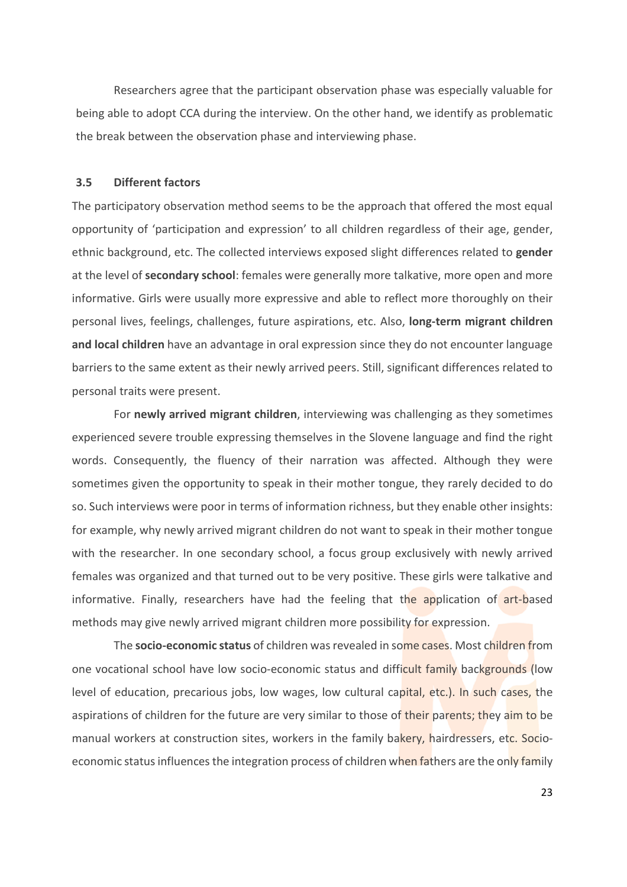Researchers agree that the participant observation phase was especially valuable for being able to adopt CCA during the interview. On the other hand, we identify as problematic the break between the observation phase and interviewing phase.

### <span id="page-25-0"></span>**3.5 Different factors**

The participatory observation method seems to be the approach that offered the most equal opportunity of 'participation and expression' to all children regardless of their age, gender, ethnic background, etc. The collected interviews exposed slight differences related to **gender** at the level of **secondary school**: females were generally more talkative, more open and more informative. Girls were usually more expressive and able to reflect more thoroughly on their personal lives, feelings, challenges, future aspirations, etc. Also, **long-term migrant children and local children** have an advantage in oral expression since they do not encounter language barriers to the same extent as their newly arrived peers. Still, significant differences related to personal traits were present.

For **newly arrived migrant children**, interviewing was challenging as they sometimes experienced severe trouble expressing themselves in the Slovene language and find the right words. Consequently, the fluency of their narration was affected. Although they were sometimes given the opportunity to speak in their mother tongue, they rarely decided to do so. Such interviews were poor in terms of information richness, but they enable other insights: for example, why newly arrived migrant children do not want to speak in their mother tongue with the researcher. In one secondary school, a focus group exclusively with newly arrived females was organized and that turned out to be very positive. These girls were talkative and informative. Finally, researchers have had the feeling that the application of art-based methods may give newly arrived migrant children more possibility for expression.

The **socio-economic status** of children was revealed in some cases. Most children from one vocational school have low socio-economic status and difficult family backgrounds (low level of education, precarious jobs, low wages, low cultural capital, etc.). In such cases, the aspirations of children for the future are very similar to those of their parents; they aim to be manual workers at construction sites, workers in the family bakery, hairdressers, etc. Socioeconomic status influences the integration process of children when fathers are the only family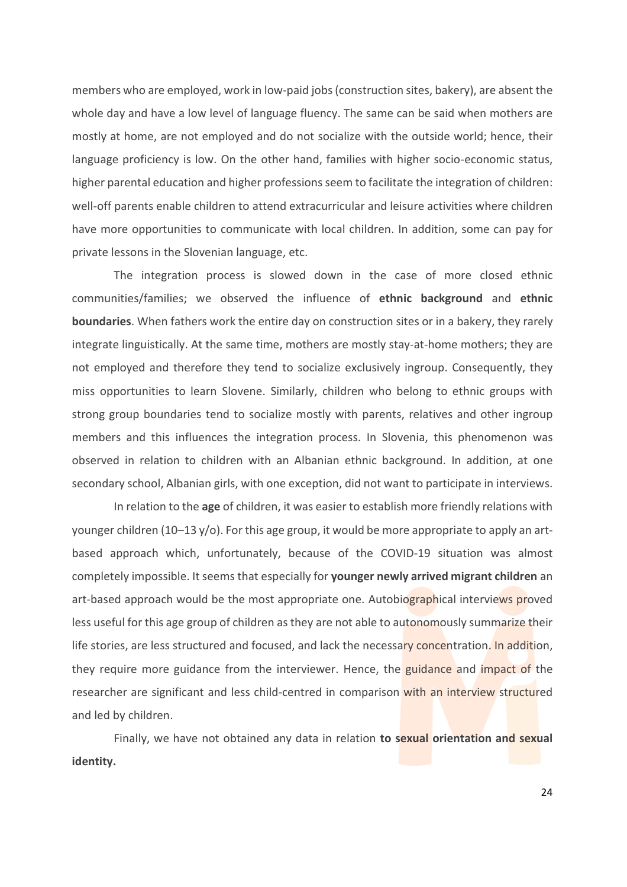members who are employed, work in low-paid jobs(construction sites, bakery), are absent the whole day and have a low level of language fluency. The same can be said when mothers are mostly at home, are not employed and do not socialize with the outside world; hence, their language proficiency is low. On the other hand, families with higher socio-economic status, higher parental education and higher professions seem to facilitate the integration of children: well-off parents enable children to attend extracurricular and leisure activities where children have more opportunities to communicate with local children. In addition, some can pay for private lessons in the Slovenian language, etc.

The integration process is slowed down in the case of more closed ethnic communities/families; we observed the influence of **ethnic background** and **ethnic boundaries**. When fathers work the entire day on construction sites or in a bakery, they rarely integrate linguistically. At the same time, mothers are mostly stay-at-home mothers; they are not employed and therefore they tend to socialize exclusively ingroup. Consequently, they miss opportunities to learn Slovene. Similarly, children who belong to ethnic groups with strong group boundaries tend to socialize mostly with parents, relatives and other ingroup members and this influences the integration process. In Slovenia, this phenomenon was observed in relation to children with an Albanian ethnic background. In addition, at one secondary school, Albanian girls, with one exception, did not want to participate in interviews.

In relation to the **age** of children, it was easier to establish more friendly relations with younger children (10–13 y/o). For this age group, it would be more appropriate to apply an artbased approach which, unfortunately, because of the COVID-19 situation was almost completely impossible. It seems that especially for **younger newly arrived migrant children** an art-based approach would be the most appropriate one. Autobiographical interviews proved less useful for this age group of children as they are not able to autonomously summarize their life stories, are less structured and focused, and lack the necessary concentration. In addition, they require more guidance from the interviewer. Hence, the guidance and impact of the researcher are significant and less child-centred in comparison with an interview structured and led by children.

Finally, we have not obtained any data in relation **to sexual orientation and sexual identity.**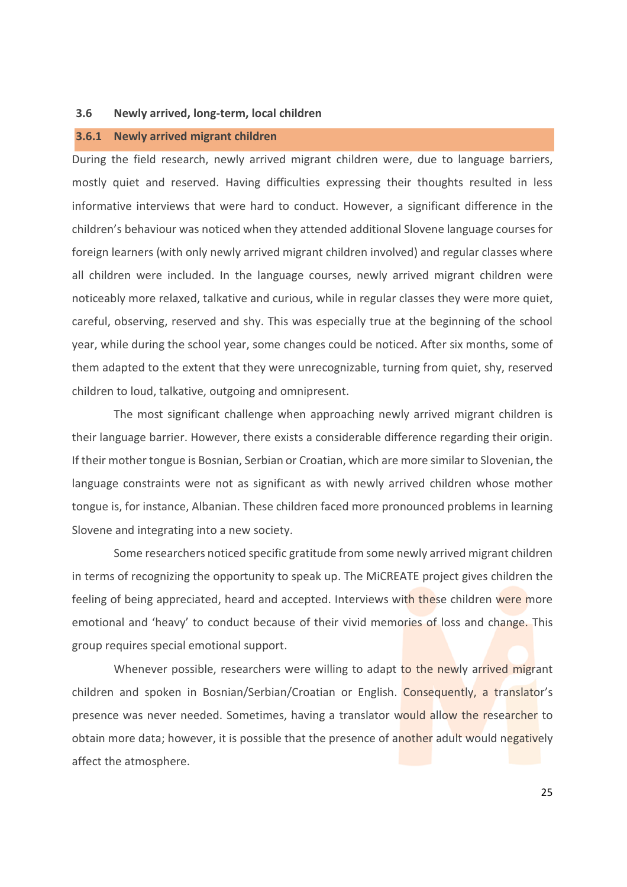## <span id="page-27-0"></span>**3.6 Newly arrived, long-term, local children**

# <span id="page-27-1"></span>**3.6.1 Newly arrived migrant children**

During the field research, newly arrived migrant children were, due to language barriers, mostly quiet and reserved. Having difficulties expressing their thoughts resulted in less informative interviews that were hard to conduct. However, a significant difference in the children's behaviour was noticed when they attended additional Slovene language courses for foreign learners (with only newly arrived migrant children involved) and regular classes where all children were included. In the language courses, newly arrived migrant children were noticeably more relaxed, talkative and curious, while in regular classes they were more quiet, careful, observing, reserved and shy. This was especially true at the beginning of the school year, while during the school year, some changes could be noticed. After six months, some of them adapted to the extent that they were unrecognizable, turning from quiet, shy, reserved children to loud, talkative, outgoing and omnipresent.

The most significant challenge when approaching newly arrived migrant children is their language barrier. However, there exists a considerable difference regarding their origin. If their mother tongue is Bosnian, Serbian or Croatian, which are more similar to Slovenian, the language constraints were not as significant as with newly arrived children whose mother tongue is, for instance, Albanian. These children faced more pronounced problems in learning Slovene and integrating into a new society.

Some researchers noticed specific gratitude from some newly arrived migrant children in terms of recognizing the opportunity to speak up. The MiCREATE project gives children the feeling of being appreciated, heard and accepted. Interviews with these children were more emotional and 'heavy' to conduct because of their vivid memories of loss and change. This group requires special emotional support.

Whenever possible, researchers were willing to adapt to the newly arrived migrant children and spoken in Bosnian/Serbian/Croatian or English. Consequently, a translator's presence was never needed. Sometimes, having a translator would allow the researcher to obtain more data; however, it is possible that the presence of another adult would negatively affect the atmosphere.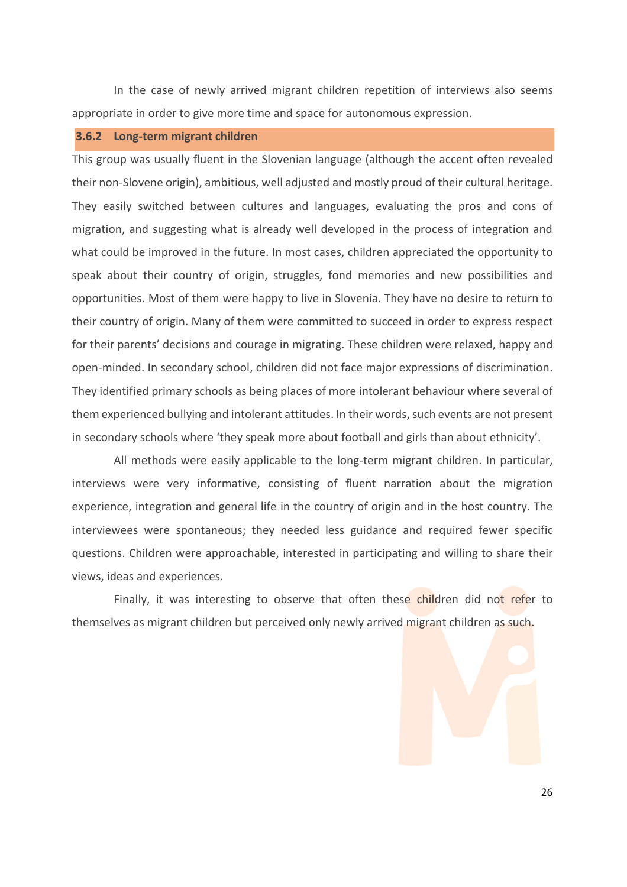In the case of newly arrived migrant children repetition of interviews also seems appropriate in order to give more time and space for autonomous expression.

# <span id="page-28-0"></span>**3.6.2 Long-term migrant children**

This group was usually fluent in the Slovenian language (although the accent often revealed their non-Slovene origin), ambitious, well adjusted and mostly proud of their cultural heritage. They easily switched between cultures and languages, evaluating the pros and cons of migration, and suggesting what is already well developed in the process of integration and what could be improved in the future. In most cases, children appreciated the opportunity to speak about their country of origin, struggles, fond memories and new possibilities and opportunities. Most of them were happy to live in Slovenia. They have no desire to return to their country of origin. Many of them were committed to succeed in order to express respect for their parents' decisions and courage in migrating. These children were relaxed, happy and open-minded. In secondary school, children did not face major expressions of discrimination. They identified primary schools as being places of more intolerant behaviour where several of them experienced bullying and intolerant attitudes. In their words, such events are not present in secondary schools where 'they speak more about football and girls than about ethnicity'.

All methods were easily applicable to the long-term migrant children. In particular, interviews were very informative, consisting of fluent narration about the migration experience, integration and general life in the country of origin and in the host country. The interviewees were spontaneous; they needed less guidance and required fewer specific questions. Children were approachable, interested in participating and willing to share their views, ideas and experiences.

Finally, it was interesting to observe that often these children did not refer to themselves as migrant children but perceived only newly arrived migrant children as such.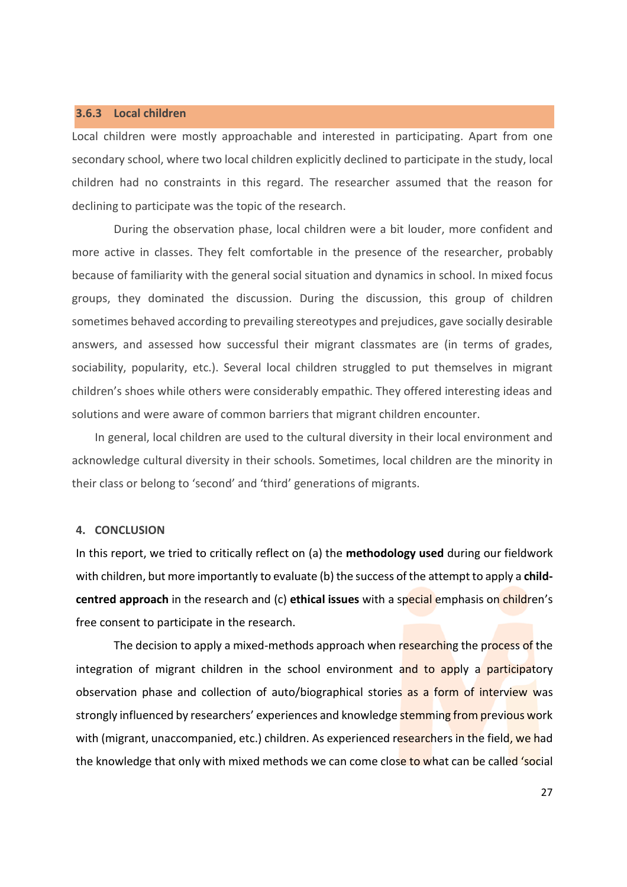### <span id="page-29-0"></span>**3.6.3 Local children**

Local children were mostly approachable and interested in participating. Apart from one secondary school, where two local children explicitly declined to participate in the study, local children had no constraints in this regard. The researcher assumed that the reason for declining to participate was the topic of the research.

During the observation phase, local children were a bit louder, more confident and more active in classes. They felt comfortable in the presence of the researcher, probably because of familiarity with the general social situation and dynamics in school. In mixed focus groups, they dominated the discussion. During the discussion, this group of children sometimes behaved according to prevailing stereotypes and prejudices, gave socially desirable answers, and assessed how successful their migrant classmates are (in terms of grades, sociability, popularity, etc.). Several local children struggled to put themselves in migrant children's shoes while others were considerably empathic. They offered interesting ideas and solutions and were aware of common barriers that migrant children encounter.

In general, local children are used to the cultural diversity in their local environment and acknowledge cultural diversity in their schools. Sometimes, local children are the minority in their class or belong to 'second' and 'third' generations of migrants.

### <span id="page-29-1"></span>**4. CONCLUSION**

In this report, we tried to critically reflect on (a) the **methodology used** during our fieldwork with children, but more importantly to evaluate (b) the success of the attempt to apply a **childcentred approach** in the research and (c) **ethical issues** with a special emphasis on children's free consent to participate in the research.

The decision to apply a mixed-methods approach when researching the process of the integration of migrant children in the school environment and to apply a participatory observation phase and collection of auto/biographical stories as a form of interview was strongly influenced by researchers' experiences and knowledge stemming from previous work with (migrant, unaccompanied, etc.) children. As experienced researchers in the field, we had the knowledge that only with mixed methods we can come close to what can be called 'social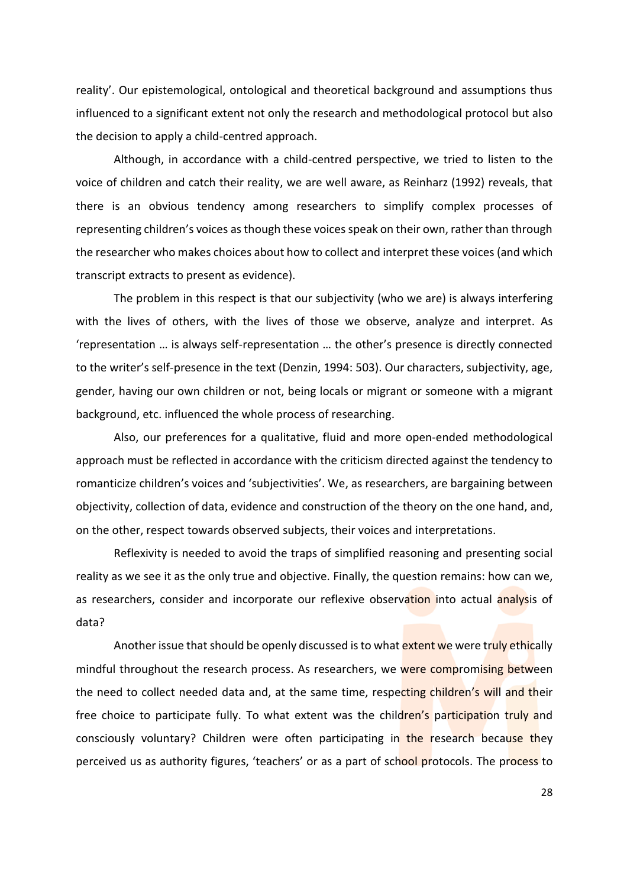reality'. Our epistemological, ontological and theoretical background and assumptions thus influenced to a significant extent not only the research and methodological protocol but also the decision to apply a child-centred approach.

Although, in accordance with a child-centred perspective, we tried to listen to the voice of children and catch their reality, we are well aware, as Reinharz (1992) reveals, that there is an obvious tendency among researchers to simplify complex processes of representing children's voices as though these voices speak on their own, rather than through the researcher who makes choices about how to collect and interpret these voices (and which transcript extracts to present as evidence).

The problem in this respect is that our subjectivity (who we are) is always interfering with the lives of others, with the lives of those we observe, analyze and interpret. As 'representation … is always self-representation … the other's presence is directly connected to the writer's self-presence in the text (Denzin, 1994: 503). Our characters, subjectivity, age, gender, having our own children or not, being locals or migrant or someone with a migrant background, etc. influenced the whole process of researching.

Also, our preferences for a qualitative, fluid and more open-ended methodological approach must be reflected in accordance with the criticism directed against the tendency to romanticize children's voices and 'subjectivities'. We, as researchers, are bargaining between objectivity, collection of data, evidence and construction of the theory on the one hand, and, on the other, respect towards observed subjects, their voices and interpretations.

Reflexivity is needed to avoid the traps of simplified reasoning and presenting social reality as we see it as the only true and objective. Finally, the question remains: how can we, as researchers, consider and incorporate our reflexive observation into actual analysis of data?

Another issue that should be openly discussed is to what extent we were truly ethically mindful throughout the research process. As researchers, we were compromising between the need to collect needed data and, at the same time, respecting children's will and their free choice to participate fully. To what extent was the children's participation truly and consciously voluntary? Children were often participating in the research because they perceived us as authority figures, 'teachers' or as a part of school protocols. The process to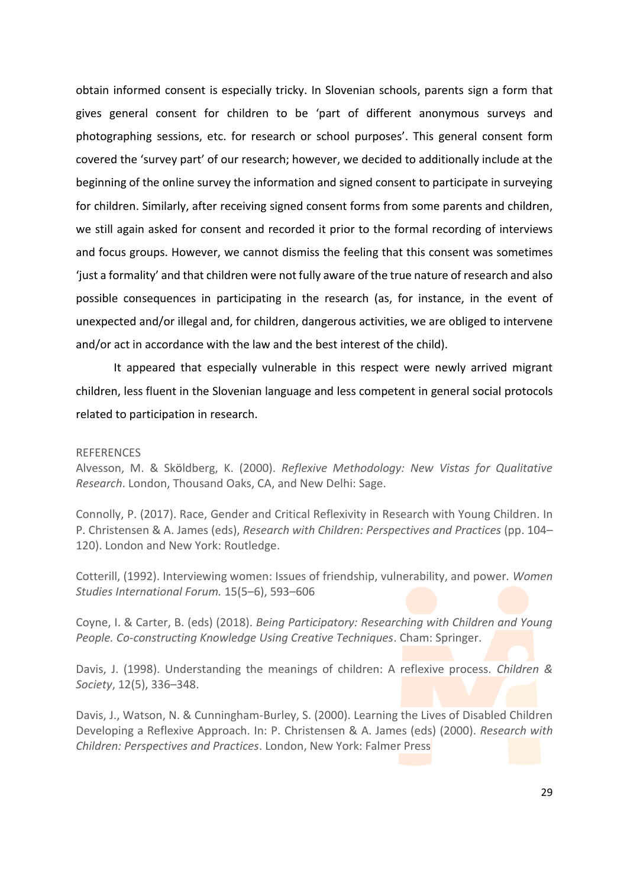obtain informed consent is especially tricky. In Slovenian schools, parents sign a form that gives general consent for children to be 'part of different anonymous surveys and photographing sessions, etc. for research or school purposes'. This general consent form covered the 'survey part' of our research; however, we decided to additionally include at the beginning of the online survey the information and signed consent to participate in surveying for children. Similarly, after receiving signed consent forms from some parents and children, we still again asked for consent and recorded it prior to the formal recording of interviews and focus groups. However, we cannot dismiss the feeling that this consent was sometimes 'just a formality' and that children were not fully aware of the true nature of research and also possible consequences in participating in the research (as, for instance, in the event of unexpected and/or illegal and, for children, dangerous activities, we are obliged to intervene and/or act in accordance with the law and the best interest of the child).

It appeared that especially vulnerable in this respect were newly arrived migrant children, less fluent in the Slovenian language and less competent in general social protocols related to participation in research.

# REFERENCES

Alvesson, M. & Sköldberg, K. (2000). *Reflexive Methodology: New Vistas for Qualitative Research*. London, Thousand Oaks, CA, and New Delhi: Sage.

Connolly, P. (2017). Race, Gender and Critical Reflexivity in Research with Young Children. In P. Christensen & A. James (eds), *Research with Children: Perspectives and Practices* (pp. 104– 120). London and New York: Routledge.

Cotterill, (1992). Interviewing women: Issues of friendship, vulnerability, and power*. Women Studies International Forum.* 15(5–6), 593–606

Coyne, I. & Carter, B. (eds) (2018). *Being Participatory: Researching with Children and Young People. Co-constructing Knowledge Using Creative Techniques*. Cham: Springer.

Davis, J. (1998). Understanding the meanings of children: A reflexive process. *Children & Society*, 12(5), 336–348.

Davis, J., Watson, N. & Cunningham-Burley, S. (2000). Learning the Lives of Disabled Children Developing a Reflexive Approach. In: P. Christensen & A. James (eds) (2000). *Research with Children: Perspectives and Practices*. London, New York: Falmer Press